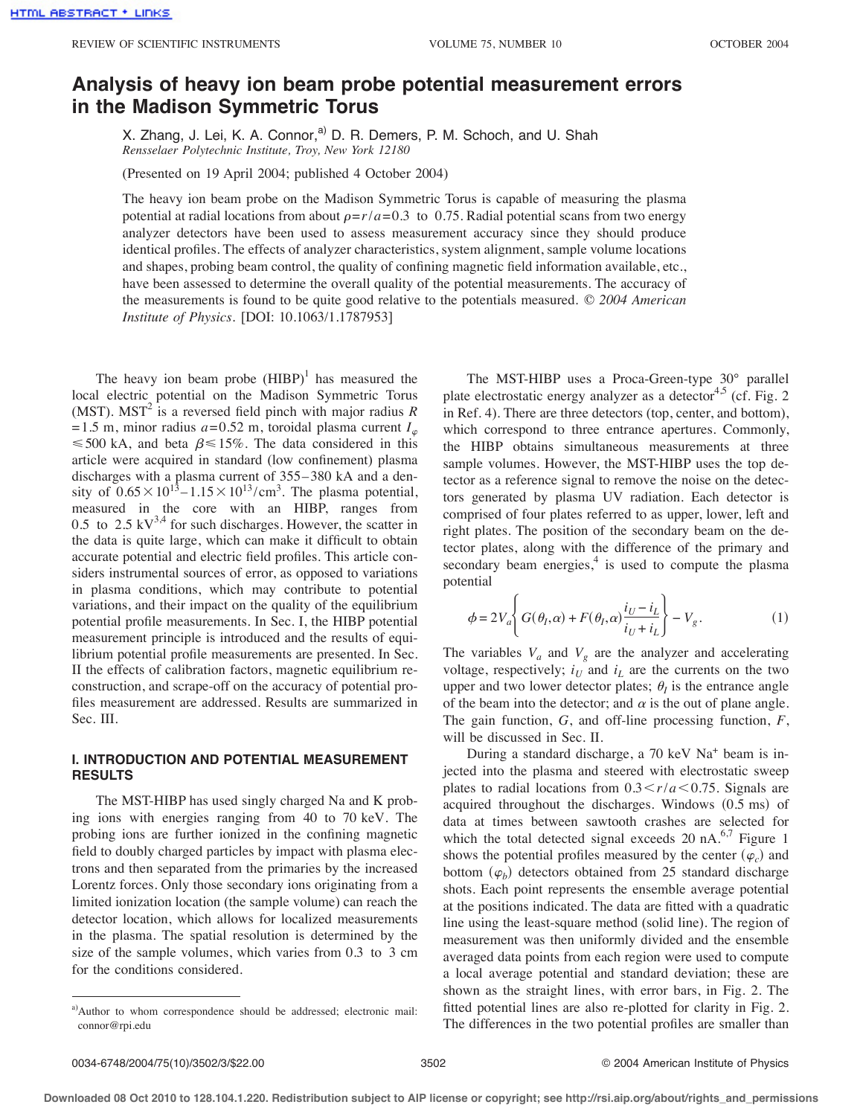# **Analysis of heavy ion beam probe potential measurement errors in the Madison Symmetric Torus**

X. Zhang, J. Lei, K. A. Connor,<sup>a)</sup> D. R. Demers, P. M. Schoch, and U. Shah *Rensselaer Polytechnic Institute, Troy, New York 12180*

(Presented on 19 April 2004; published 4 October 2004)

The heavy ion beam probe on the Madison Symmetric Torus is capable of measuring the plasma potential at radial locations from about  $\rho = r/a = 0.3$  to 0.75. Radial potential scans from two energy analyzer detectors have been used to assess measurement accuracy since they should produce identical profiles. The effects of analyzer characteristics, system alignment, sample volume locations and shapes, probing beam control, the quality of confining magnetic field information available, etc., have been assessed to determine the overall quality of the potential measurements. The accuracy of the measurements is found to be quite good relative to the potentials measured. © *2004 American Institute of Physics.* [DOI: 10.1063/1.1787953]

The heavy ion beam probe  $(HIBP)^1$  has measured the local electric potential on the Madison Symmetric Torus (MST). MST<sup>2</sup> is a reversed field pinch with major radius  $R$  $= 1.5$  m, minor radius  $a = 0.52$  m, toroidal plasma current  $I_{\varphi}$  $\leq 500$  kA, and beta  $\beta \leq 15\%$ . The data considered in this article were acquired in standard (low confinement) plasma discharges with a plasma current of 355– 380 kA and a density of  $0.65 \times 10^{13} - 1.15 \times 10^{13} / \text{cm}^3$ . The plasma potential, measured in the core with an HIBP, ranges from 0.5 to 2.5  $kV^{3,4}$  for such discharges. However, the scatter in the data is quite large, which can make it difficult to obtain accurate potential and electric field profiles. This article considers instrumental sources of error, as opposed to variations in plasma conditions, which may contribute to potential variations, and their impact on the quality of the equilibrium potential profile measurements. In Sec. I, the HIBP potential measurement principle is introduced and the results of equilibrium potential profile measurements are presented. In Sec. II the effects of calibration factors, magnetic equilibrium reconstruction, and scrape-off on the accuracy of potential profiles measurement are addressed. Results are summarized in Sec. III.

# **I. INTRODUCTION AND POTENTIAL MEASUREMENT RESULTS**

The MST-HIBP has used singly charged Na and K probing ions with energies ranging from 40 to 70 keV. The probing ions are further ionized in the confining magnetic field to doubly charged particles by impact with plasma electrons and then separated from the primaries by the increased Lorentz forces. Only those secondary ions originating from a limited ionization location (the sample volume) can reach the detector location, which allows for localized measurements in the plasma. The spatial resolution is determined by the size of the sample volumes, which varies from 0.3 to 3 cm for the conditions considered.

The MST-HIBP uses a Proca-Green-type 30° parallel plate electrostatic energy analyzer as a detector<sup>4,5</sup> (cf. Fig. 2) in Ref. 4). There are three detectors (top, center, and bottom), which correspond to three entrance apertures. Commonly, the HIBP obtains simultaneous measurements at three sample volumes. However, the MST-HIBP uses the top detector as a reference signal to remove the noise on the detectors generated by plasma UV radiation. Each detector is comprised of four plates referred to as upper, lower, left and right plates. The position of the secondary beam on the detector plates, along with the difference of the primary and secondary beam energies, $4$  is used to compute the plasma potential

$$
\phi = 2V_a \left\{ G(\theta_I, \alpha) + F(\theta_I, \alpha) \frac{i_U - i_L}{i_U + i_L} \right\} - V_g. \tag{1}
$$

The variables  $V_a$  and  $V_g$  are the analyzer and accelerating voltage, respectively;  $i_U$  and  $i_L$  are the currents on the two upper and two lower detector plates;  $\theta_I$  is the entrance angle of the beam into the detector; and  $\alpha$  is the out of plane angle. The gain function, *G*, and off-line processing function, *F*, will be discussed in Sec. II.

During a standard discharge, a 70 keV Na+ beam is injected into the plasma and steered with electrostatic sweep plates to radial locations from  $0.3 \lt r/a \lt 0.75$ . Signals are acquired throughout the discharges. Windows  $(0.5 \text{ ms})$  of data at times between sawtooth crashes are selected for which the total detected signal exceeds 20 nA. $6,7$  Figure 1 shows the potential profiles measured by the center  $(\varphi_c)$  and bottom  $(\varphi_b)$  detectors obtained from 25 standard discharge shots. Each point represents the ensemble average potential at the positions indicated. The data are fitted with a quadratic line using the least-square method (solid line). The region of measurement was then uniformly divided and the ensemble averaged data points from each region were used to compute a local average potential and standard deviation; these are shown as the straight lines, with error bars, in Fig. 2. The fitted potential lines are also re-plotted for clarity in Fig. 2. The differences in the two potential profiles are smaller than

a)Author to whom correspondence should be addressed; electronic mail: connor@rpi.edu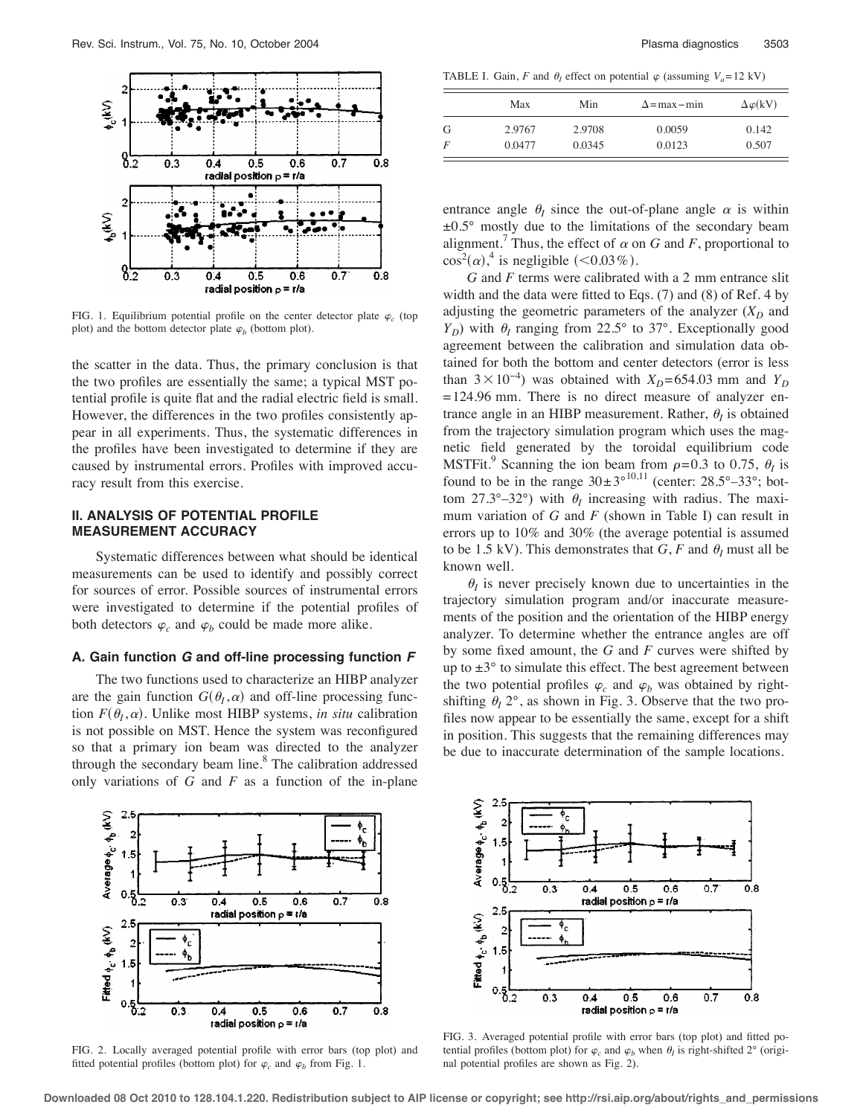

FIG. 1. Equilibrium potential profile on the center detector plate  $\varphi_c$  (top plot) and the bottom detector plate  $\varphi_b$  (bottom plot).

the scatter in the data. Thus, the primary conclusion is that the two profiles are essentially the same; a typical MST potential profile is quite flat and the radial electric field is small. However, the differences in the two profiles consistently appear in all experiments. Thus, the systematic differences in the profiles have been investigated to determine if they are caused by instrumental errors. Profiles with improved accuracy result from this exercise.

# **II. ANALYSIS OF POTENTIAL PROFILE MEASUREMENT ACCURACY**

Systematic differences between what should be identical measurements can be used to identify and possibly correct for sources of error. Possible sources of instrumental errors were investigated to determine if the potential profiles of both detectors  $\varphi_c$  and  $\varphi_b$  could be made more alike.

# **A. Gain function G and off-line processing function F**

The two functions used to characterize an HIBP analyzer are the gain function  $G(\theta_I,\alpha)$  and off-line processing function  $F(\theta_I, \alpha)$ . Unlike most HIBP systems, *in situ* calibration is not possible on MST. Hence the system was reconfigured so that a primary ion beam was directed to the analyzer through the secondary beam line. $8$  The calibration addressed only variations of *G* and *F* as a function of the in-plane

TABLE I. Gain, *F* and  $\theta$ <sub>*I*</sub> effect on potential  $\varphi$  (assuming  $V_a = 12 \text{ kV}$ )

|   | Max    | Min    | $\Delta$ =max – min | $\Delta \varphi(kV)$ |
|---|--------|--------|---------------------|----------------------|
| G | 2.9767 | 2.9708 | 0.0059              | 0.142                |
| F | 0.0477 | 0.0345 | 0.0123              | 0.507                |

entrance angle  $\theta_I$  since the out-of-plane angle  $\alpha$  is within  $\pm 0.5^{\circ}$  mostly due to the limitations of the secondary beam alignment.<sup> $\prime$ </sup> Thus, the effect of  $\alpha$  on *G* and *F*, proportional to  $\cos^2(\alpha)$ ,<sup>4</sup> is negligible (<0.03%).

*G* and *F* terms were calibrated with a 2 mm entrance slit width and the data were fitted to Eqs. (7) and (8) of Ref. 4 by adjusting the geometric parameters of the analyzer  $(X_D)$  and  $Y_D$ ) with  $\theta_I$  ranging from 22.5° to 37°. Exceptionally good agreement between the calibration and simulation data obtained for both the bottom and center detectors (error is less than  $3 \times 10^{-4}$ ) was obtained with  $X_D = 654.03$  mm and  $Y_D$  $= 124.96$  mm. There is no direct measure of analyzer entrance angle in an HIBP measurement. Rather,  $\theta_I$  is obtained from the trajectory simulation program which uses the magnetic field generated by the toroidal equilibrium code MSTFit.<sup>9</sup> Scanning the ion beam from  $\rho = 0.3$  to 0.75,  $\theta_I$  is found to be in the range  $30 \pm 3^{\circ}^{10,11}$  (center: 28.5°–33°; bottom 27.3°–32°) with  $\theta$ <sub>I</sub> increasing with radius. The maximum variation of *G* and *F* (shown in Table I) can result in errors up to 10% and 30% (the average potential is assumed to be 1.5 kV). This demonstrates that  $G$ ,  $F$  and  $\theta$ <sub>I</sub> must all be known well.

 $\theta$ <sub>*I*</sub> is never precisely known due to uncertainties in the trajectory simulation program and/or inaccurate measurements of the position and the orientation of the HIBP energy analyzer. To determine whether the entrance angles are off by some fixed amount, the *G* and *F* curves were shifted by up to  $\pm 3^{\circ}$  to simulate this effect. The best agreement between the two potential profiles  $\varphi_c$  and  $\varphi_b$  was obtained by rightshifting  $\theta_I$  2°, as shown in Fig. 3. Observe that the two profiles now appear to be essentially the same, except for a shift in position. This suggests that the remaining differences may be due to inaccurate determination of the sample locations.



FIG. 2. Locally averaged potential profile with error bars (top plot) and fitted potential profiles (bottom plot) for  $\varphi_c$  and  $\varphi_b$  from Fig. 1.



FIG. 3. Averaged potential profile with error bars (top plot) and fitted potential profiles (bottom plot) for  $\varphi_c$  and  $\varphi_b$  when  $\theta_l$  is right-shifted 2° (original potential profiles are shown as Fig. 2).

**Downloaded 08 Oct 2010 to 128.104.1.220. Redistribution subject to AIP license or copyright; see http://rsi.aip.org/about/rights\_and\_permissions**